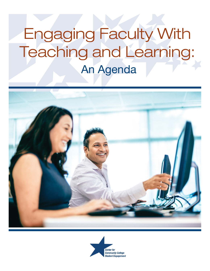# **Engaging Faculty With** Teaching and Learning: An Agenda



![](_page_0_Picture_2.jpeg)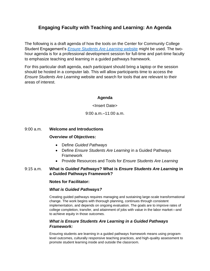## **Engaging Faculty with Teaching and Learning: An Agenda**

The following is a draft agenda of how the tools on the Center for Community College Student Engagement's *[Ensure Students Are Learning](https://cccse.org/ESAL)* website might be used. The twohour agenda is for a professional development session for full-time and part-time faculty to emphasize teaching and learning in a guided pathways framework.

For this particular draft agenda, each participant should bring a laptop or the session should be hosted in a computer lab. This will allow participants time to access the *Ensure Students Are Learning* website and search for tools that are relevant to their areas of interest.

#### **Agenda**

<Insert Date>

9:00 a.m.–11:00 a.m.

#### 9:00 a.m. **Welcome and Introductions**

#### **Overview of Objectives:**

- Define *Guided Pathways*
- Define *Ensure Students Are Learning* in a Guided Pathways Framework
- Provide Resources and Tools for *Ensure Students Are Learning*

#### 9:15 a.m. **What is** *Guided Pathways***? What is** *Ensure Students Are Learning* **in a Guided Pathways Framework?**

#### **Notes for Facilitator:**

#### *What is Guided Pathways?*

Creating guided pathways requires managing and sustaining large-scale transformational change. The work begins with thorough planning, continues through consistent implementation, and depends on ongoing evaluation. The goals are to improve rates of college completion, transfer, and attainment of jobs with value in the labor market—and to achieve equity in those outcomes.

### *What is Ensure Students Are Learning in a Guided Pathways Framework:*

Ensuring students are learning in a guided pathways framework means using programlevel outcomes, culturally responsive teaching practices, and high-quality assessment to promote student learning inside and outside the classroom.